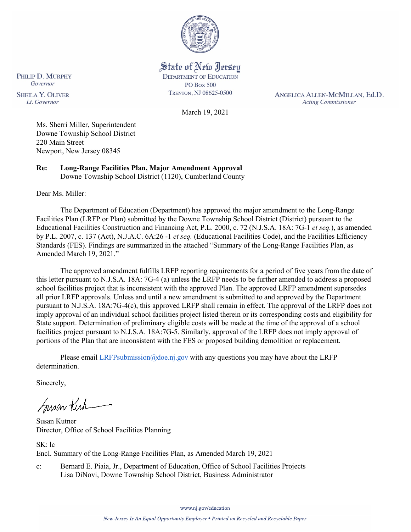

State of New Jersey **DEPARTMENT OF EDUCATION PO Box 500** TRENTON, NJ 08625-0500

ANGELICA ALLEN-MCMILLAN, Ed.D. **Acting Commissioner** 

March 19, 2021

Ms. Sherri Miller, Superintendent Downe Township School District 220 Main Street Newport, New Jersey 08345

**Re: Long-Range Facilities Plan, Major Amendment Approval**  Downe Township School District (1120), Cumberland County

Dear Ms. Miller:

PHILIP D. MURPHY Governor

**SHEILA Y. OLIVER** 

Lt. Governor

The Department of Education (Department) has approved the major amendment to the Long-Range Facilities Plan (LRFP or Plan) submitted by the Downe Township School District (District) pursuant to the Educational Facilities Construction and Financing Act, P.L. 2000, c. 72 (N.J.S.A. 18A: 7G-1 *et seq.*), as amended by P.L. 2007, c. 137 (Act), N.J.A.C. 6A:26 -1 *et seq.* (Educational Facilities Code), and the Facilities Efficiency Standards (FES). Findings are summarized in the attached "Summary of the Long-Range Facilities Plan, as Amended March 19, 2021."

The approved amendment fulfills LRFP reporting requirements for a period of five years from the date of this letter pursuant to N.J.S.A. 18A: 7G-4 (a) unless the LRFP needs to be further amended to address a proposed school facilities project that is inconsistent with the approved Plan. The approved LRFP amendment supersedes all prior LRFP approvals. Unless and until a new amendment is submitted to and approved by the Department pursuant to N.J.S.A. 18A:7G-4(c), this approved LRFP shall remain in effect. The approval of the LRFP does not imply approval of an individual school facilities project listed therein or its corresponding costs and eligibility for State support. Determination of preliminary eligible costs will be made at the time of the approval of a school facilities project pursuant to N.J.S.A. 18A:7G-5. Similarly, approval of the LRFP does not imply approval of portions of the Plan that are inconsistent with the FES or proposed building demolition or replacement.

Please email [LRFPsubmission@doe.nj.gov](mailto:LRFPsubmission@doe.nj.gov) with any questions you may have about the LRFP determination.

Sincerely,

Susan Kich

Susan Kutner Director, Office of School Facilities Planning

SK: lc Encl. Summary of the Long-Range Facilities Plan, as Amended March 19, 2021

c: Bernard E. Piaia, Jr., Department of Education, Office of School Facilities Projects Lisa DiNovi, Downe Township School District, Business Administrator

www.nj.gov/education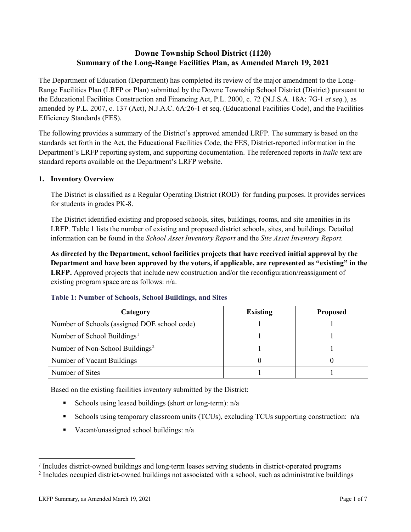# **Downe Township School District (1120) Summary of the Long-Range Facilities Plan, as Amended March 19, 2021**

The Department of Education (Department) has completed its review of the major amendment to the Long-Range Facilities Plan (LRFP or Plan) submitted by the Downe Township School District (District) pursuant to the Educational Facilities Construction and Financing Act, P.L. 2000, c. 72 (N.J.S.A. 18A: 7G-1 *et seq.*), as amended by P.L. 2007, c. 137 (Act), N.J.A.C. 6A:26-1 et seq. (Educational Facilities Code), and the Facilities Efficiency Standards (FES).

The following provides a summary of the District's approved amended LRFP. The summary is based on the standards set forth in the Act, the Educational Facilities Code, the FES, District-reported information in the Department's LRFP reporting system, and supporting documentation. The referenced reports in *italic* text are standard reports available on the Department's LRFP website.

#### **1. Inventory Overview**

The District is classified as a Regular Operating District (ROD) for funding purposes. It provides services for students in grades PK-8.

The District identified existing and proposed schools, sites, buildings, rooms, and site amenities in its LRFP. Table 1 lists the number of existing and proposed district schools, sites, and buildings. Detailed information can be found in the *School Asset Inventory Report* and the *Site Asset Inventory Report.*

**As directed by the Department, school facilities projects that have received initial approval by the Department and have been approved by the voters, if applicable, are represented as "existing" in the LRFP.** Approved projects that include new construction and/or the reconfiguration/reassignment of existing program space are as follows: n/a.

| Category                                     | <b>Existing</b> | <b>Proposed</b> |
|----------------------------------------------|-----------------|-----------------|
| Number of Schools (assigned DOE school code) |                 |                 |
| Number of School Buildings <sup>1</sup>      |                 |                 |
| Number of Non-School Buildings <sup>2</sup>  |                 |                 |
| Number of Vacant Buildings                   |                 |                 |
| Number of Sites                              |                 |                 |

#### **Table 1: Number of Schools, School Buildings, and Sites**

Based on the existing facilities inventory submitted by the District:

- Schools using leased buildings (short or long-term):  $n/a$
- Schools using temporary classroom units (TCUs), excluding TCUs supporting construction: n/a
- Vacant/unassigned school buildings:  $n/a$

 $\overline{a}$ 

<span id="page-1-1"></span><span id="page-1-0"></span>*<sup>1</sup>* Includes district-owned buildings and long-term leases serving students in district-operated programs

<sup>&</sup>lt;sup>2</sup> Includes occupied district-owned buildings not associated with a school, such as administrative buildings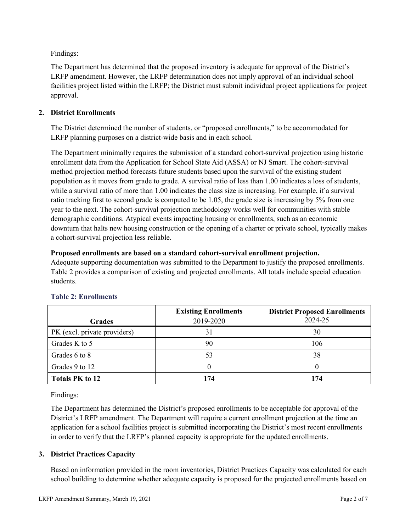Findings:

The Department has determined that the proposed inventory is adequate for approval of the District's LRFP amendment. However, the LRFP determination does not imply approval of an individual school facilities project listed within the LRFP; the District must submit individual project applications for project approval.

# **2. District Enrollments**

The District determined the number of students, or "proposed enrollments," to be accommodated for LRFP planning purposes on a district-wide basis and in each school.

The Department minimally requires the submission of a standard cohort-survival projection using historic enrollment data from the Application for School State Aid (ASSA) or NJ Smart. The cohort-survival method projection method forecasts future students based upon the survival of the existing student population as it moves from grade to grade. A survival ratio of less than 1.00 indicates a loss of students, while a survival ratio of more than 1.00 indicates the class size is increasing. For example, if a survival ratio tracking first to second grade is computed to be 1.05, the grade size is increasing by 5% from one year to the next. The cohort-survival projection methodology works well for communities with stable demographic conditions. Atypical events impacting housing or enrollments, such as an economic downturn that halts new housing construction or the opening of a charter or private school, typically makes a cohort-survival projection less reliable.

#### **Proposed enrollments are based on a standard cohort-survival enrollment projection.**

Adequate supporting documentation was submitted to the Department to justify the proposed enrollments. Table 2 provides a comparison of existing and projected enrollments. All totals include special education students.

|                              | <b>Existing Enrollments</b> | <b>District Proposed Enrollments</b> |
|------------------------------|-----------------------------|--------------------------------------|
| <b>Grades</b>                | 2019-2020                   | 2024-25                              |
| PK (excl. private providers) |                             | 30                                   |
| Grades K to 5                | 90                          | 106                                  |
| Grades 6 to 8                | 53                          | 38                                   |
| Grades 9 to 12               |                             |                                      |
| <b>Totals PK to 12</b>       | 174                         | 174                                  |

# **Table 2: Enrollments**

Findings:

The Department has determined the District's proposed enrollments to be acceptable for approval of the District's LRFP amendment. The Department will require a current enrollment projection at the time an application for a school facilities project is submitted incorporating the District's most recent enrollments in order to verify that the LRFP's planned capacity is appropriate for the updated enrollments.

# **3. District Practices Capacity**

Based on information provided in the room inventories, District Practices Capacity was calculated for each school building to determine whether adequate capacity is proposed for the projected enrollments based on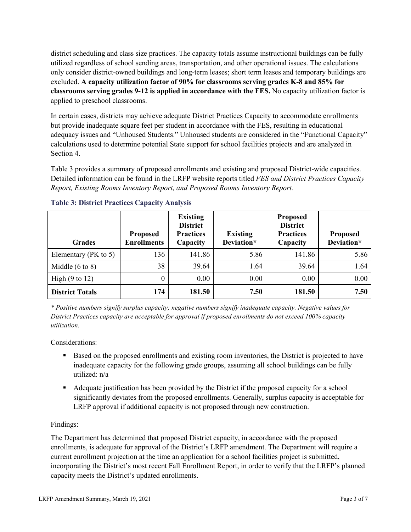district scheduling and class size practices. The capacity totals assume instructional buildings can be fully utilized regardless of school sending areas, transportation, and other operational issues. The calculations only consider district-owned buildings and long-term leases; short term leases and temporary buildings are excluded. **A capacity utilization factor of 90% for classrooms serving grades K-8 and 85% for classrooms serving grades 9-12 is applied in accordance with the FES.** No capacity utilization factor is applied to preschool classrooms.

In certain cases, districts may achieve adequate District Practices Capacity to accommodate enrollments but provide inadequate square feet per student in accordance with the FES, resulting in educational adequacy issues and "Unhoused Students." Unhoused students are considered in the "Functional Capacity" calculations used to determine potential State support for school facilities projects and are analyzed in Section 4.

Table 3 provides a summary of proposed enrollments and existing and proposed District-wide capacities. Detailed information can be found in the LRFP website reports titled *FES and District Practices Capacity Report, Existing Rooms Inventory Report, and Proposed Rooms Inventory Report.*

| <b>Grades</b>              | <b>Proposed</b><br><b>Enrollments</b> | <b>Existing</b><br><b>District</b><br><b>Practices</b><br>Capacity | <b>Existing</b><br>Deviation* | <b>Proposed</b><br><b>District</b><br><b>Practices</b><br>Capacity | <b>Proposed</b><br>Deviation* |
|----------------------------|---------------------------------------|--------------------------------------------------------------------|-------------------------------|--------------------------------------------------------------------|-------------------------------|
| Elementary ( $PK$ to 5)    | 136                                   | 141.86                                                             | 5.86                          | 141.86                                                             | 5.86                          |
| Middle $(6 \text{ to } 8)$ | 38                                    | 39.64                                                              | 1.64                          | 39.64                                                              | 1.64                          |
| High $(9 \text{ to } 12)$  | 0                                     | 0.00                                                               | 0.00                          | 0.00                                                               | 0.00                          |
| <b>District Totals</b>     | 174                                   | 181.50                                                             | 7.50                          | 181.50                                                             | 7.50                          |

# **Table 3: District Practices Capacity Analysis**

*\* Positive numbers signify surplus capacity; negative numbers signify inadequate capacity. Negative values for District Practices capacity are acceptable for approval if proposed enrollments do not exceed 100% capacity utilization.*

Considerations:

- Based on the proposed enrollments and existing room inventories, the District is projected to have inadequate capacity for the following grade groups, assuming all school buildings can be fully utilized: n/a
- Adequate justification has been provided by the District if the proposed capacity for a school significantly deviates from the proposed enrollments. Generally, surplus capacity is acceptable for LRFP approval if additional capacity is not proposed through new construction.

# Findings:

The Department has determined that proposed District capacity, in accordance with the proposed enrollments, is adequate for approval of the District's LRFP amendment. The Department will require a current enrollment projection at the time an application for a school facilities project is submitted, incorporating the District's most recent Fall Enrollment Report, in order to verify that the LRFP's planned capacity meets the District's updated enrollments.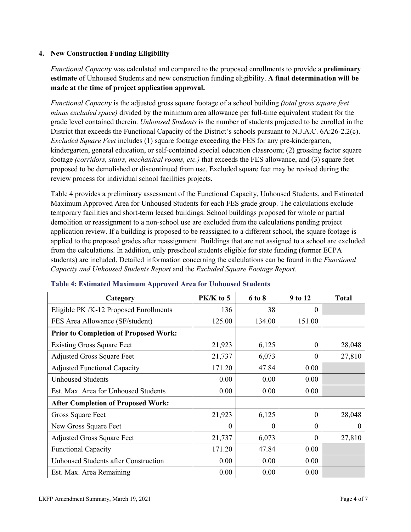# **4. New Construction Funding Eligibility**

*Functional Capacity* was calculated and compared to the proposed enrollments to provide a **preliminary estimate** of Unhoused Students and new construction funding eligibility. **A final determination will be made at the time of project application approval.**

*Functional Capacity* is the adjusted gross square footage of a school building *(total gross square feet minus excluded space)* divided by the minimum area allowance per full-time equivalent student for the grade level contained therein. *Unhoused Students* is the number of students projected to be enrolled in the District that exceeds the Functional Capacity of the District's schools pursuant to N.J.A.C. 6A:26-2.2(c). *Excluded Square Feet* includes (1) square footage exceeding the FES for any pre-kindergarten, kindergarten, general education, or self-contained special education classroom; (2) grossing factor square footage *(corridors, stairs, mechanical rooms, etc.)* that exceeds the FES allowance, and (3) square feet proposed to be demolished or discontinued from use. Excluded square feet may be revised during the review process for individual school facilities projects.

Table 4 provides a preliminary assessment of the Functional Capacity, Unhoused Students, and Estimated Maximum Approved Area for Unhoused Students for each FES grade group. The calculations exclude temporary facilities and short-term leased buildings. School buildings proposed for whole or partial demolition or reassignment to a non-school use are excluded from the calculations pending project application review. If a building is proposed to be reassigned to a different school, the square footage is applied to the proposed grades after reassignment. Buildings that are not assigned to a school are excluded from the calculations. In addition, only preschool students eligible for state funding (former ECPA students) are included. Detailed information concerning the calculations can be found in the *Functional Capacity and Unhoused Students Report* and the *Excluded Square Footage Report.*

| Category                                     | PK/K to 5 | 6 to 8 | 9 to 12  | <b>Total</b> |
|----------------------------------------------|-----------|--------|----------|--------------|
| Eligible PK /K-12 Proposed Enrollments       | 136       | 38     | 0        |              |
| FES Area Allowance (SF/student)              | 125.00    | 134.00 | 151.00   |              |
| <b>Prior to Completion of Proposed Work:</b> |           |        |          |              |
| <b>Existing Gross Square Feet</b>            | 21,923    | 6,125  | $\Omega$ | 28,048       |
| <b>Adjusted Gross Square Feet</b>            | 21,737    | 6,073  | $\theta$ | 27,810       |
| <b>Adjusted Functional Capacity</b>          | 171.20    | 47.84  | 0.00     |              |
| <b>Unhoused Students</b>                     | 0.00      | 0.00   | 0.00     |              |
| Est. Max. Area for Unhoused Students         | 0.00      | 0.00   | 0.00     |              |
| <b>After Completion of Proposed Work:</b>    |           |        |          |              |
| Gross Square Feet                            | 21,923    | 6,125  | $\theta$ | 28,048       |
| New Gross Square Feet                        | $\theta$  | 0      | $\theta$ | $\Omega$     |
| <b>Adjusted Gross Square Feet</b>            | 21,737    | 6,073  | $\Omega$ | 27,810       |
| <b>Functional Capacity</b>                   | 171.20    | 47.84  | 0.00     |              |
| Unhoused Students after Construction         | 0.00      | 0.00   | 0.00     |              |
| Est. Max. Area Remaining                     | 0.00      | 0.00   | 0.00     |              |

#### **Table 4: Estimated Maximum Approved Area for Unhoused Students**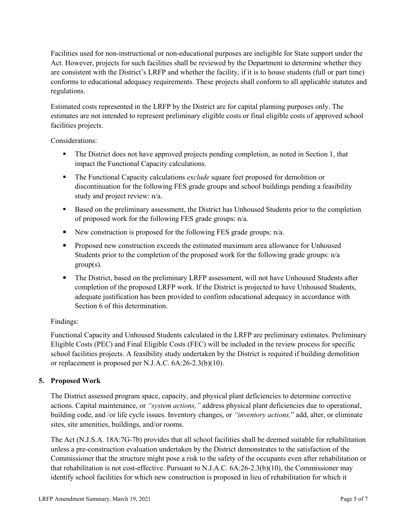Facilities used for non-instructional or non-educational purposes are ineligible for State support under the Act. However, projects for such facilities shall be reviewed by the Department to determine whether they are consistent with the District's LRFP and whether the facility, if it is to house students (full or part time) conforms to educational adequacy requirements. These projects shall conform to all applicable statutes and regulations.

Estimated costs represented in the LRFP by the District are for capital planning purposes only. The estimates are not intended to represent preliminary eligible costs or final eligible costs of approved school facilities projects.

Considerations:

- The District does not have approved projects pending completion, as noted in Section 1, that impact the Functional Capacity calculations.
- **The Functional Capacity calculations** *exclude* square feet proposed for demolition or discontinuation for the following FES grade groups and school buildings pending a feasibility study and project review: n/a.
- Based on the preliminary assessment, the District has Unhoused Students prior to the completion of proposed work for the following FES grade groups: n/a.
- New construction is proposed for the following FES grade groups: n/a.
- Proposed new construction exceeds the estimated maximum area allowance for Unhoused Students prior to the completion of the proposed work for the following grade groups: n/a group(s).
- The District, based on the preliminary LRFP assessment, will not have Unhoused Students after completion of the proposed LRFP work. If the District is projected to have Unhoused Students, adequate justification has been provided to confirm educational adequacy in accordance with Section 6 of this determination.

# Findings:

Functional Capacity and Unhoused Students calculated in the LRFP are preliminary estimates. Preliminary Eligible Costs (PEC) and Final Eligible Costs (FEC) will be included in the review process for specific school facilities projects. A feasibility study undertaken by the District is required if building demolition or replacement is proposed per N.J.A.C. 6A:26-2.3(b)(10).

# **5. Proposed Work**

The District assessed program space, capacity, and physical plant deficiencies to determine corrective actions. Capital maintenance, or *"system actions,"* address physical plant deficiencies due to operational, building code, and /or life cycle issues. Inventory changes, or *"inventory actions,*" add, alter, or eliminate sites, site amenities, buildings, and/or rooms.

The Act (N.J.S.A. 18A:7G-7b) provides that all school facilities shall be deemed suitable for rehabilitation unless a pre-construction evaluation undertaken by the District demonstrates to the satisfaction of the Commissioner that the structure might pose a risk to the safety of the occupants even after rehabilitation or that rehabilitation is not cost-effective. Pursuant to N.J.A.C. 6A:26-2.3(b)(10), the Commissioner may identify school facilities for which new construction is proposed in lieu of rehabilitation for which it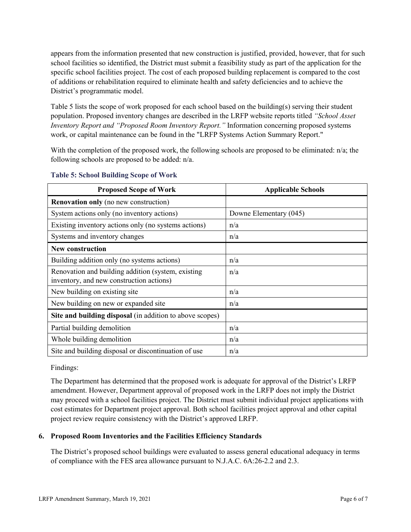appears from the information presented that new construction is justified, provided, however, that for such school facilities so identified, the District must submit a feasibility study as part of the application for the specific school facilities project. The cost of each proposed building replacement is compared to the cost of additions or rehabilitation required to eliminate health and safety deficiencies and to achieve the District's programmatic model.

Table 5 lists the scope of work proposed for each school based on the building(s) serving their student population. Proposed inventory changes are described in the LRFP website reports titled *"School Asset Inventory Report and "Proposed Room Inventory Report."* Information concerning proposed systems work, or capital maintenance can be found in the "LRFP Systems Action Summary Report."

With the completion of the proposed work, the following schools are proposed to be eliminated: n/a; the following schools are proposed to be added: n/a.

| <b>Proposed Scope of Work</b>                                                                  | <b>Applicable Schools</b> |
|------------------------------------------------------------------------------------------------|---------------------------|
| <b>Renovation only</b> (no new construction)                                                   |                           |
| System actions only (no inventory actions)                                                     | Downe Elementary (045)    |
| Existing inventory actions only (no systems actions)                                           | n/a                       |
| Systems and inventory changes                                                                  | n/a                       |
| <b>New construction</b>                                                                        |                           |
| Building addition only (no systems actions)                                                    | n/a                       |
| Renovation and building addition (system, existing<br>inventory, and new construction actions) | n/a                       |
| New building on existing site                                                                  | n/a                       |
| New building on new or expanded site                                                           | n/a                       |
| Site and building disposal (in addition to above scopes)                                       |                           |
| Partial building demolition                                                                    | n/a                       |
| Whole building demolition                                                                      | n/a                       |
| Site and building disposal or discontinuation of use                                           | n/a                       |

#### **Table 5: School Building Scope of Work**

Findings:

The Department has determined that the proposed work is adequate for approval of the District's LRFP amendment. However, Department approval of proposed work in the LRFP does not imply the District may proceed with a school facilities project. The District must submit individual project applications with cost estimates for Department project approval. Both school facilities project approval and other capital project review require consistency with the District's approved LRFP.

# **6. Proposed Room Inventories and the Facilities Efficiency Standards**

The District's proposed school buildings were evaluated to assess general educational adequacy in terms of compliance with the FES area allowance pursuant to N.J.A.C. 6A:26-2.2 and 2.3.